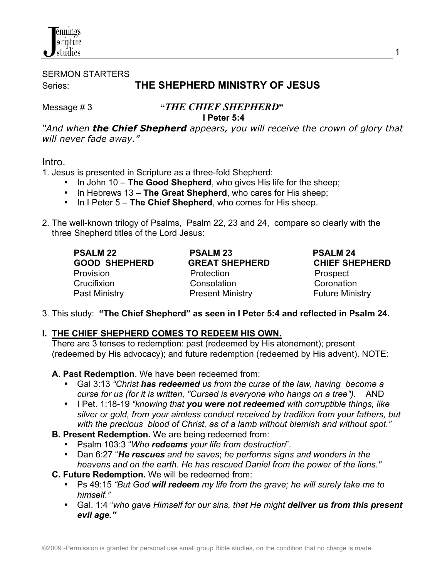

SERMON STARTERS Series: **THE SHEPHERD MINISTRY OF JESUS**

### Message # 3 **"***THE CHIEF SHEPHERD***" I Peter 5:4**

*"And when the Chief Shepherd appears, you will receive the crown of glory that will never fade away."* 

### Intro.

1. Jesus is presented in Scripture as a three-fold Shepherd:

- In John 10 **The Good Shepherd**, who gives His life for the sheep;
- In Hebrews 13 **The Great Shepherd**, who cares for His sheep;
- In I Peter 5 **The Chief Shepherd**, who comes for His sheep.
- 2. The well-known trilogy of Psalms, Psalm 22, 23 and 24, compare so clearly with the three Shepherd titles of the Lord Jesus:

| <b>PSALM 22</b>      |
|----------------------|
| GOOD SHEPHERD        |
| Provision            |
| Crucifixion          |
| <b>Past Ministry</b> |

 **PSALM 22 PSALM 23 PSALM 24 GREAT SHEPHERD CHIEF SHEPHERD** Protection **Provision** Prospect Consolation Coronation Present Ministry **Present Ministry** 

3. This study: **"The Chief Shepherd" as seen in I Peter 5:4 and reflected in Psalm 24.**

### **I. THE CHIEF SHEPHERD COMES TO REDEEM HIS OWN.**

 There are 3 tenses to redemption: past (redeemed by His atonement); present (redeemed by His advocacy); and future redemption (redeemed by His advent). NOTE:

 **A. Past Redemption**. We have been redeemed from:

- Gal 3:13 *"Christ has redeemed us from the curse of the law, having become a curse for us (for it is written, "Cursed is everyone who hangs on a tree").* AND
- I Pet. 1:18-19 *"knowing that you were not redeemed with corruptible things, like silver or gold, from your aimless conduct received by tradition from your fathers, but with the precious blood of Christ, as of a lamb without blemish and without spot."*
- **B. Present Redemption.** We are being redeemed from:
	- Psalm 103:3 "*Who redeems your life from destruction*".
	- Dan 6:27 "*He rescues and he saves*; *he performs signs and wonders in the heavens and on the earth. He has rescued Daniel from the power of the lions."*
- **C. Future Redemption.** We will be redeemed from:
	- Ps 49:15 *"But God will redeem my life from the grave; he will surely take me to himself."*
	- Gal. 1:4 "*who gave Himself for our sins, that He might deliver us from this present evil age."*